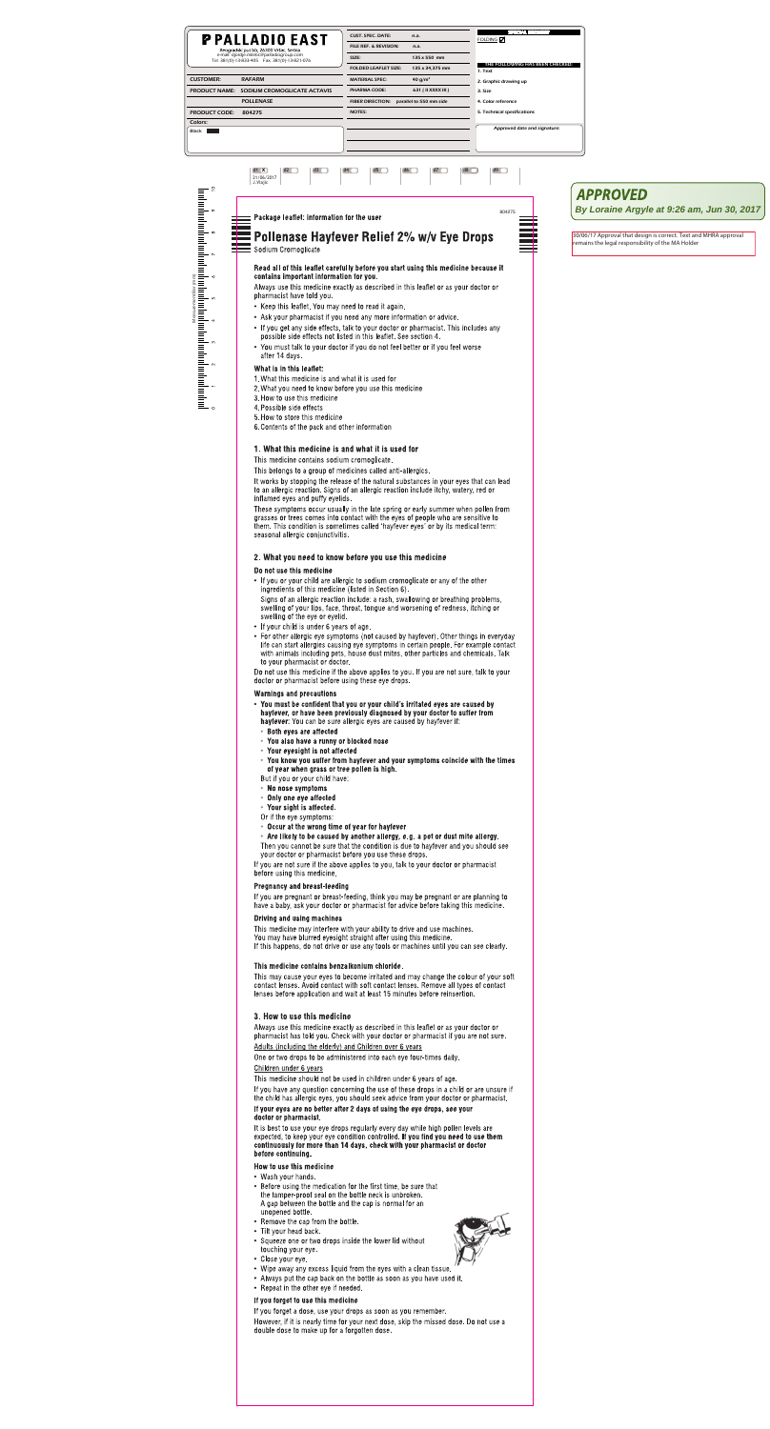| <b>PPALLADIO EAST</b>                                                                         |                                        | <b>CUST. SPEC. DATE:</b>                           | n.a.               | <b>SPECIAL REQUEST</b><br>FOLDING $\nabla$ |
|-----------------------------------------------------------------------------------------------|----------------------------------------|----------------------------------------------------|--------------------|--------------------------------------------|
|                                                                                               | Beogradski put bb, 26300 Vršac, Serbia | FILE REF. & REVISION:                              | n.a.               |                                            |
| e-mail: djordje.miletic@palladiogroup.com<br>Tel. 381(0)-13-833-405    Fax. 381(0)-13-821-076 |                                        | SIZE:                                              | 135 x 550 mm       |                                            |
|                                                                                               |                                        | <b>FOLDED LEAFLET SIZE:</b>                        | 135 x 34,375 mm    | THE FOLLOWING HAS BEEN CHECKED:<br>1. Text |
| <b>CUSTOMER:</b>                                                                              | <b>RAFARM</b>                          | <b>MATERIAL SPEC:</b>                              | 40 $q/m^2$         | 2. Graphic drawing up                      |
| <b>PRODUCT NAME:</b>                                                                          | SODIUM CROMOGLICATE ACTAVIS            | <b>PHARMA CODE:</b>                                | 631 (II XXXX III ) | 3. Size                                    |
| <b>POLLENASE</b>                                                                              |                                        | <b>FIBER DIRECTION:</b><br>parallel to 550 mm side |                    | 4. Color reference                         |
| <b>PRODUCT CODE:</b>                                                                          | 804275                                 | <b>NOTES:</b>                                      |                    | 5. Technical specifications                |
| Colors:                                                                                       |                                        |                                                    |                    |                                            |
| Black                                                                                         |                                        |                                                    |                    | Approved date and signature:               |
|                                                                                               |                                        |                                                    |                    |                                            |
|                                                                                               |                                        |                                                    |                    |                                            |

## $d1 \mathbf{X}$  $d2$  $d3$  $d4$  $d5$  $d7$  $d8$  $d9$  $d6$ 21/06/2017<br>J. Vlajic 804275 Package leaflet: information for the user Pollenase Hayfever Relief 2% w/v Eye Drops Sodium Cromoglicate Read all of this leaflet carefully before you start using this medicine because it contains important information for you. Always use this medicine exactly as described in this leaflet or as your doctor or pharmacist have told you. • Keep this leaflet. You may need to read it again. • Ask your pharmacist if you need any more information or advice. • If you get any side effects, talk to your doctor or pharmacist. This includes any possible side effects not listed in this leaflet. See section 4. • You must talk to your doctor if you do not feel better or if you feel worse after 14 days. What is in this leaflet:

- 1. What this medicine is and what it is used for
- 2. What you need to know before you use this medicine
- 3. How to use this medicine
- 4. Possible side effects
- 5. How to store this medicine
- 6. Contents of the pack and other information

# 1. What this medicine is and what it is used for

This medicine contains sodium cromoglicate.

This belongs to a group of medicines called anti-allergics.

It works by stopping the release of the natural substances in your eyes that can lead to an allergic reaction. Signs of an allergic reaction include itchy, watery, red or inflamed eyes and puffy eyelids.

These symptoms occur usually in the late spring or early summer when pollen from grasses or trees comes into contact with the eyes of people who are sensitive to them. This condition is sometimes called 'hayfever eyes' or by its medical term: seasonal allergic conjunctivitis.

# 2. What you need to know before you use this medicine

# Do not use this medicine

• If you or your child are allergic to sodium cromoglicate or any of the other ingredients of this medicine (listed in Section 6).

Signs of an allergic reaction include: a rash, swallowing or breathing problems, swelling of your lips, face, throat, tongue and worsening of redness, itching or swelling of the eye or eyelid.

- If your child is under 6 years of age.
- For other allergic eye symptoms (not caused by hayfever). Other things in everyday life can start allergies causing eye symptoms in certain people. For example contact with animals including pets, house dust mites, other particles and chemicals. Talk to your pharmacist or doctor.

Do not use this medicine if the above applies to you. If you are not sure, talk to your doctor or pharmacist before using these eye drops.

## **Warnings and precautions**

# **APPROVED**

By Loraine Argyle at 9:26 am, Jun 30, 2017

30/06/17 Approval that design is correct. Text and MHRA approval remains the legal responsibility of the MA Holder

- You must be confident that you or your child's irritated eyes are caused by hayfever, or have been previously diagnosed by your doctor to suffer from **hayfever:** You can be sure allergic eyes are caused by hayfever if:
- Both eyes are affected
- You also have a runny or blocked nose
- Your eyesight is not affected
- You know you suffer from hayfever and your symptoms coincide with the times of year when grass or tree pollen is high.

But if you or your child have:

- No nose symptoms
- Only one eye affected
- Your sight is affected.
- Or if the eye symptoms:
- Occur at the wrong time of year for hayfever
- Are likely to be caused by another allergy, e.g. a pet or dust mite allergy.
- Then you cannot be sure that the condition is due to hayfever and you should see your doctor or pharmacist before you use these drops.

If you are not sure if the above applies to you, talk to your doctor or pharmacist before using this medicine.

## **Pregnancy and breast-feeding**

If you are pregnant or breast-feeding, think you may be pregnant or are planning to have a baby, ask your doctor or pharmacist for advice before taking this medicine.

## **Driving and using machines**

This medicine may interfere with your ability to drive and use machines. You may have blurred eyesight straight after using this medicine. If this happens, do not drive or use any tools or machines until you can see clearly.

## This medicine contains benzalkonium chloride.

This may cause your eyes to become irritated and may change the colour of your soft contact lenses. Avoid contact with soft contact lenses. Remove all types of contact lenses before application and wait at least 15 minutes before reinsertion.

## 3. How to use this medicine

Always use this medicine exactly as described in this leaflet or as your doctor or pharmacist has told you. Check with your doctor or pharmacist if you are not sure. Adults (including the elderly) and Children over 6 years

One or two drops to be administered into each eye four-times daily.

## Children under 6 years

This medicine should not be used in children under 6 years of age.

If you have any question concerning the use of these drops in a child or are unsure if the child has allergic eyes, you should seek advice from your doctor or pharmacist.

## If your eyes are no better after 2 days of using the eye drops, see your doctor or pharmacist.

It is best to use your eye drops regularly every day while high pollen levels are expected, to keep your eye condition controlled. If you find you need to use them continuously for more than 14 days, check with your pharmacist or doctor before continuing.

## How to use this medicine

- Wash your hands.
- Before using the medication for the first time, be sure that the tamper-proof seal on the bottle neck is unbroken. A gap between the bottle and the cap is normal for an unopened bottle.
- Remove the cap from the bottle.
- Tilt your head back.
- Squeeze one or two drops inside the lower lid without touching your eye.
- Close your eye.
- Wipe away any excess liquid from the eyes with a clean tissue.
- Always put the cap back on the bottle as soon as you have used it.
- Repeat in the other eye if needed.

## If you forget to use this medicine

If you forget a dose, use your drops as soon as you remember.

However, if it is nearly time for your next dose, skip the missed dose. Do not use a double dose to make up for a forgotten dose.